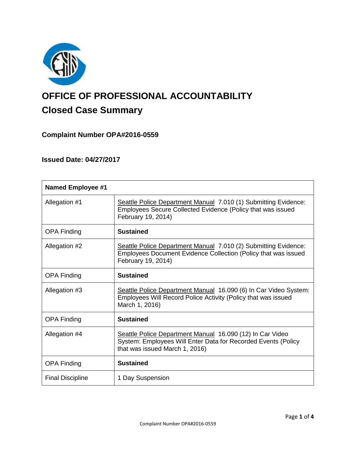

# **OFFICE OF PROFESSIONAL ACCOUNTABILITY Closed Case Summary**

# **Complaint Number OPA#2016-0559**

## **Issued Date: 04/27/2017**

| <b>Named Employee #1</b> |                                                                                                                                                              |
|--------------------------|--------------------------------------------------------------------------------------------------------------------------------------------------------------|
| Allegation #1            | Seattle Police Department Manual 7.010 (1) Submitting Evidence:<br>Employees Secure Collected Evidence (Policy that was issued<br>February 19, 2014)         |
| <b>OPA Finding</b>       | <b>Sustained</b>                                                                                                                                             |
| Allegation #2            | Seattle Police Department Manual 7.010 (2) Submitting Evidence:<br>Employees Document Evidence Collection (Policy that was issued<br>February 19, 2014)      |
| <b>OPA Finding</b>       | <b>Sustained</b>                                                                                                                                             |
| Allegation #3            | Seattle Police Department Manual 16.090 (6) In Car Video System:<br>Employees Will Record Police Activity (Policy that was issued<br>March 1, 2016)          |
| <b>OPA Finding</b>       | <b>Sustained</b>                                                                                                                                             |
| Allegation #4            | Seattle Police Department Manual 16.090 (12) In Car Video<br>System: Employees Will Enter Data for Recorded Events (Policy<br>that was issued March 1, 2016) |
| <b>OPA Finding</b>       | <b>Sustained</b>                                                                                                                                             |
| <b>Final Discipline</b>  | 1 Day Suspension                                                                                                                                             |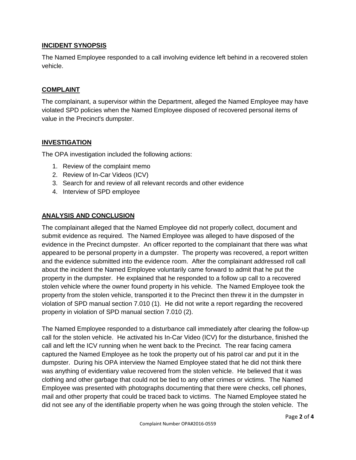## **INCIDENT SYNOPSIS**

The Named Employee responded to a call involving evidence left behind in a recovered stolen vehicle.

## **COMPLAINT**

The complainant, a supervisor within the Department, alleged the Named Employee may have violated SPD policies when the Named Employee disposed of recovered personal items of value in the Precinct's dumpster.

## **INVESTIGATION**

The OPA investigation included the following actions:

- 1. Review of the complaint memo
- 2. Review of In-Car Videos (ICV)
- 3. Search for and review of all relevant records and other evidence
- 4. Interview of SPD employee

## **ANALYSIS AND CONCLUSION**

The complainant alleged that the Named Employee did not properly collect, document and submit evidence as required. The Named Employee was alleged to have disposed of the evidence in the Precinct dumpster. An officer reported to the complainant that there was what appeared to be personal property in a dumpster. The property was recovered, a report written and the evidence submitted into the evidence room. After the complainant addressed roll call about the incident the Named Employee voluntarily came forward to admit that he put the property in the dumpster. He explained that he responded to a follow up call to a recovered stolen vehicle where the owner found property in his vehicle. The Named Employee took the property from the stolen vehicle, transported it to the Precinct then threw it in the dumpster in violation of SPD manual section 7.010 (1). He did not write a report regarding the recovered property in violation of SPD manual section 7.010 (2).

The Named Employee responded to a disturbance call immediately after clearing the follow-up call for the stolen vehicle. He activated his In-Car Video (ICV) for the disturbance, finished the call and left the ICV running when he went back to the Precinct. The rear facing camera captured the Named Employee as he took the property out of his patrol car and put it in the dumpster. During his OPA interview the Named Employee stated that he did not think there was anything of evidentiary value recovered from the stolen vehicle. He believed that it was clothing and other garbage that could not be tied to any other crimes or victims. The Named Employee was presented with photographs documenting that there were checks, cell phones, mail and other property that could be traced back to victims. The Named Employee stated he did not see any of the identifiable property when he was going through the stolen vehicle. The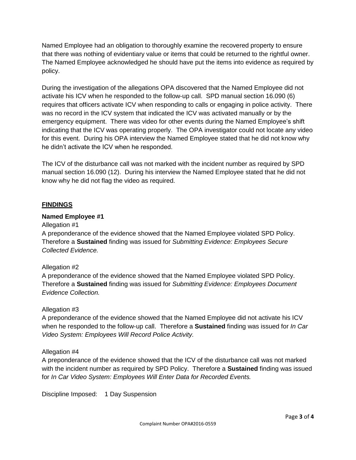Named Employee had an obligation to thoroughly examine the recovered property to ensure that there was nothing of evidentiary value or items that could be returned to the rightful owner. The Named Employee acknowledged he should have put the items into evidence as required by policy.

During the investigation of the allegations OPA discovered that the Named Employee did not activate his ICV when he responded to the follow-up call. SPD manual section 16.090 (6) requires that officers activate ICV when responding to calls or engaging in police activity. There was no record in the ICV system that indicated the ICV was activated manually or by the emergency equipment. There was video for other events during the Named Employee's shift indicating that the ICV was operating properly. The OPA investigator could not locate any video for this event. During his OPA interview the Named Employee stated that he did not know why he didn't activate the ICV when he responded.

The ICV of the disturbance call was not marked with the incident number as required by SPD manual section 16.090 (12). During his interview the Named Employee stated that he did not know why he did not flag the video as required.

## **FINDINGS**

### **Named Employee #1**

### Allegation #1

A preponderance of the evidence showed that the Named Employee violated SPD Policy. Therefore a **Sustained** finding was issued for *Submitting Evidence: Employees Secure Collected Evidence.*

### Allegation #2

A preponderance of the evidence showed that the Named Employee violated SPD Policy. Therefore a **Sustained** finding was issued for *Submitting Evidence: Employees Document Evidence Collection.*

### Allegation #3

A preponderance of the evidence showed that the Named Employee did not activate his ICV when he responded to the follow-up call. Therefore a **Sustained** finding was issued for *In Car Video System: Employees Will Record Police Activity.*

### Allegation #4

A preponderance of the evidence showed that the ICV of the disturbance call was not marked with the incident number as required by SPD Policy. Therefore a **Sustained** finding was issued for *In Car Video System: Employees Will Enter Data for Recorded Events.*

Discipline Imposed: 1 Day Suspension